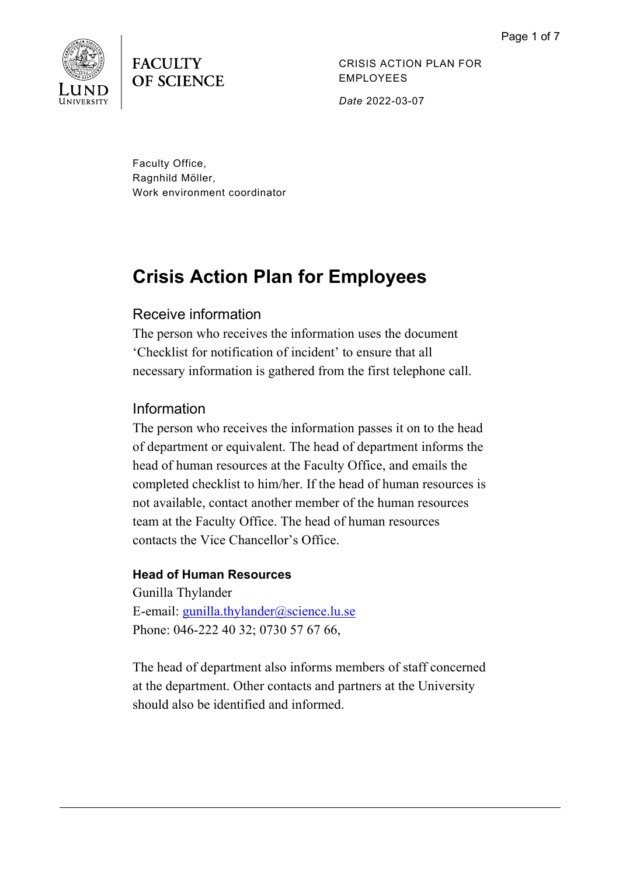

**FACULTY OF SCIENCE** 

CRISIS ACTION PLAN FOR EMPLOYEES

*Date* 2022-03-07

Faculty Office, Ragnhild Möller, Work environment coordinator

# **Crisis Action Plan for Employees**

# Receive information

The person who receives the information uses the document 'Checklist for notification of incident' to ensure that all necessary information is gathered from the first telephone call.

# Information

The person who receives the information passes it on to the head of department or equivalent. The head of department informs the head of human resources at the Faculty Office, and emails the completed checklist to him/her. If the head of human resources is not available, contact another member of the human resources team at the Faculty Office. The head of human resources contacts the Vice Chancellor's Office.

### **Head of Human Resources**

Gunilla Thylander E-email: [gunilla.thylander@science.lu.se](mailto:gunilla.thylander@science.lu.se) Phone: 046-222 40 32; 0730 57 67 66,

The head of department also informs members of staff concerned at the department. Other contacts and partners at the University should also be identified and informed.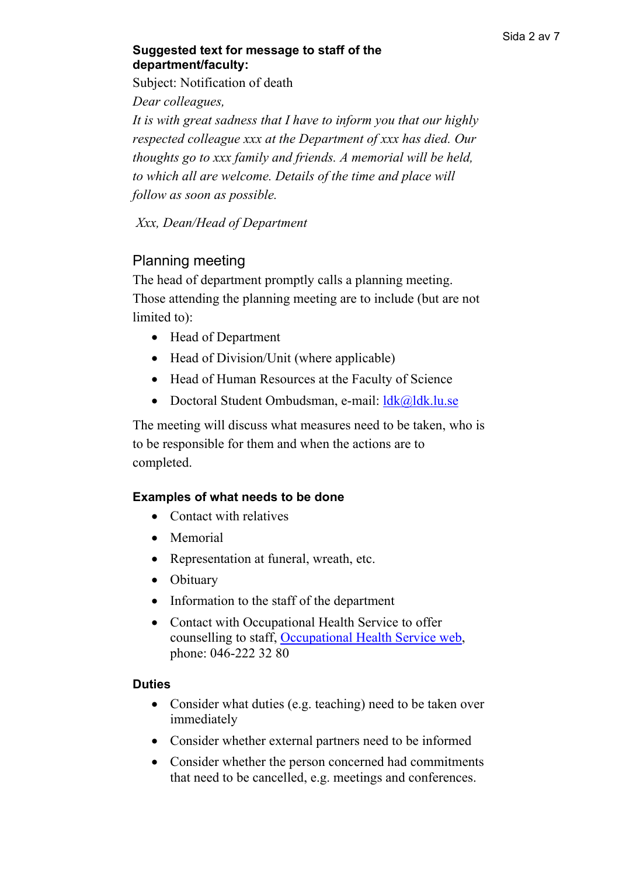### **Suggested text for message to staff of the department/faculty:**

Subject: Notification of death

*Dear colleagues,* 

*It is with great sadness that I have to inform you that our highly respected colleague xxx at the Department of xxx has died. Our thoughts go to xxx family and friends. A memorial will be held, to which all are welcome. Details of the time and place will follow as soon as possible.*

*Xxx, Dean/Head of Department* 

# Planning meeting

The head of department promptly calls a planning meeting. Those attending the planning meeting are to include (but are not limited to):

- Head of Department
- Head of Division/Unit (where applicable)
- Head of Human Resources at the Faculty of Science
- Doctoral Student Ombudsman, e-mail: [ldk@ldk.lu.se](mailto:ldk@ldk.lu.se)

The meeting will discuss what measures need to be taken, who is to be responsible for them and when the actions are to completed.

### **Examples of what needs to be done**

- Contact with relatives
- Memorial
- Representation at funeral, wreath, etc.
- Obituary
- Information to the staff of the department
- Contact with Occupational Health Service to offer counselling to staff, [Occupational Health Service web,](https://www.staff.lu.se/employment/work-environment-and-health/health-and-wellness/occupational-health-service) phone: 046-222 32 80

### **Duties**

- Consider what duties (e.g. teaching) need to be taken over immediately
- Consider whether external partners need to be informed
- Consider whether the person concerned had commitments that need to be cancelled, e.g. meetings and conferences.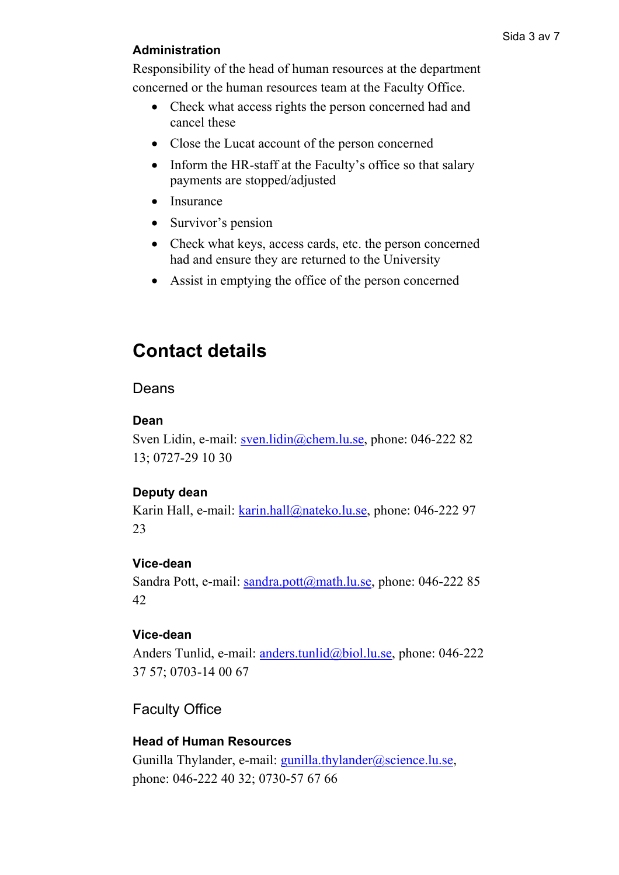### **Administration**

Responsibility of the head of human resources at the department concerned or the human resources team at the Faculty Office.

- Check what access rights the person concerned had and cancel these
- Close the Lucat account of the person concerned
- Inform the HR-staff at the Faculty's office so that salary payments are stopped/adjusted
- Insurance
- Survivor's pension
- Check what keys, access cards, etc. the person concerned had and ensure they are returned to the University
- Assist in emptying the office of the person concerned

# **Contact details**

### Deans

#### **Dean**

Sven Lidin, e-mail: [sven.lidin@chem.lu.se,](mailto:sven.lidin@chem.lu.se) phone: 046-222 82 13; 0727-29 10 30

### **Deputy dean**

Karin Hall, e-mail: [karin.hall@nateko.lu.se,](mailto:karin.hall@nateko.lu.se) phone: 046-222 97 23

### **Vice-dean**

Sandra Pott, e-mail: [sandra.pott@math.lu.se,](mailto:sandra.pott@math.lu.se) phone: 046-222 85 42

#### **Vice-dean**

Anders Tunlid, e-mail: [anders.tunlid@biol.lu.se,](mailto:anders.tunlid@biol.lu.se) phone: 046-222 37 57; 0703-14 00 67

# Faculty Office

### **Head of Human Resources**

Gunilla Thylander, e-mail: [gunilla.thylander@science.lu.se,](mailto:gunilla.thylander@science.lu.se) phone: 046-222 40 32; 0730-57 67 66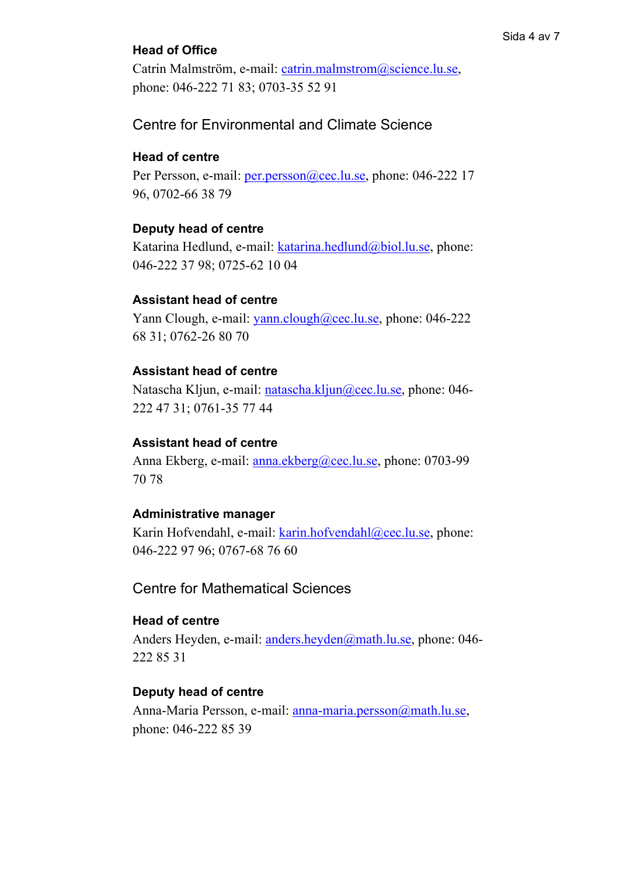#### Sida 4 av 7

### **Head of Office**

Catrin Malmström, e-mail: [catrin.malmstrom@science.lu.se,](mailto:catrin.malmstrom@science.lu.se) phone: 046-222 71 83; 0703-35 52 91

### Centre for Environmental and Climate Science

### **Head of centre**

Per Persson, e-mail: [per.persson@cec.lu.se,](mailto:per.persson@cec.lu.se) phone: 046-222 17 96, 0702-66 38 79

#### **Deputy head of centre**

Katarina Hedlund, e-mail: [katarina.hedlund@biol.lu.se,](mailto:katarina.hedlund@biol.lu.se) phone: 046-222 37 98; 0725-62 10 04

#### **Assistant head of centre**

Yann Clough, e-mail: [yann.clough@cec.lu.se,](mailto:yann.clough@cec.lu.se) phone: 046-222 68 31; 0762-26 80 70

#### **Assistant head of centre**

Natascha Kljun, e-mail: <u>natascha.kljun@cec.lu.se</u>, phone: 046-222 47 31; 0761-35 77 44

#### **Assistant head of centre**

Anna Ekberg, e-mail: [anna.ekberg@cec.lu.se,](mailto:anna.ekberg@cec.lu.se) phone: 0703-99 70 78

#### **Administrative manager**

Karin Hofvendahl, e-mail: [karin.hofvendahl@cec.lu.se,](mailto:karin.hofvendahl@cec.lu.se) phone: 046-222 97 96; 0767-68 76 60

# Centre for Mathematical Sciences

### **Head of centre**

Anders Heyden, e-mail: [anders.heyden@math.lu.se,](mailto:anders.heyden@math.lu.se) phone: 046-222 85 31

#### **Deputy head of centre**

Anna-Maria Persson, e-mail: [anna-maria.persson@math.lu.se,](mailto:anna-maria.persson@math.lu.se) phone: 046-222 85 39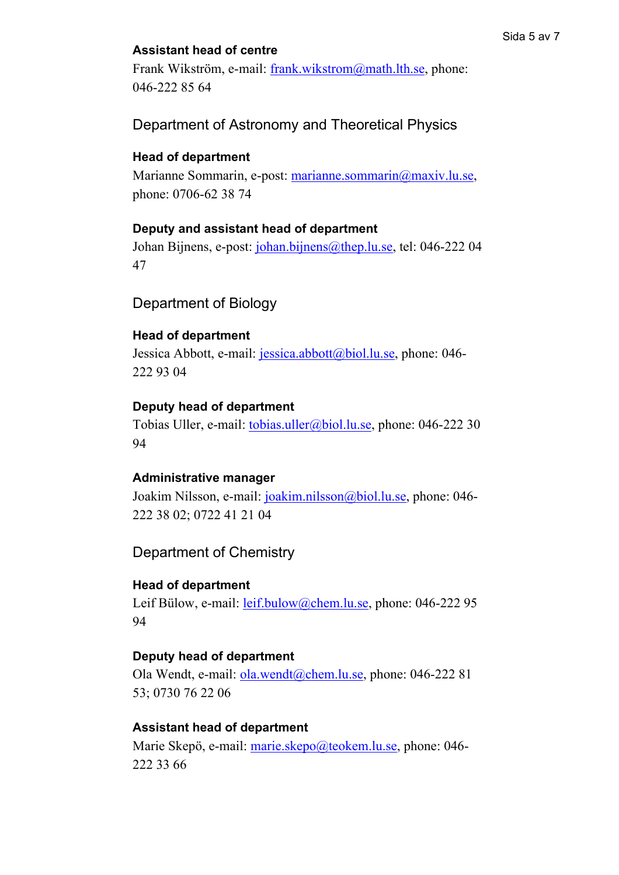# **Assistant head of centre**

Frank Wikström, e-mail: [frank.wikstrom@math.lth.se,](mailto:frank.wikstrom@math.lth.se) phone: 046-222 85 64

Department of Astronomy and Theoretical Physics

# **Head of department**

Marianne Sommarin, e-post: [marianne.sommarin@maxiv.lu.se,](mailto:marianne.sommarin@maxiv.lu.se) phone: 0706-62 38 74

# **Deputy and assistant head of department**

Johan Bijnens, e-post: [johan.bijnens@thep.lu.se,](mailto:johan.bijnens@thep.lu.se) tel: 046-222 04 47

# Department of Biology

### **Head of department**

Jessica Abbott, e-mail: [jessica.abbott@biol.lu.se,](mailto:jessica.abbott@biol.lu.se) phone: 046-222 93 04

### **Deputy head of department**

Tobias Uller, e-mail: [tobias.uller@biol.lu.se,](mailto:tobias.uller@biol.lu.se) phone: 046-222 30 94

# **Administrative manager**

Joakim Nilsson, e-mail: [joakim.nilsson@biol.lu.se,](mailto:joakim.nilsson@biol.lu.se) phone: 046-222 38 02; 0722 41 21 04

Department of Chemistry

# **Head of department**

Leif Bülow, e-mail: [leif.bulow@chem.lu.se,](mailto:leif.bulow@chem.lu.se) phone: 046-222 95 94

### **Deputy head of department**

Ola Wendt, e-mail: [ola.wendt@chem.lu.se,](mailto:ola.wendt@chem.lu.se) phone: 046-222 81 53; 0730 76 22 06

# **Assistant head of department**

Marie Skepö, e-mail: [marie.skepo@teokem.lu.se,](mailto:marie.skepo@teokem.lu.se) phone: 046-222 33 66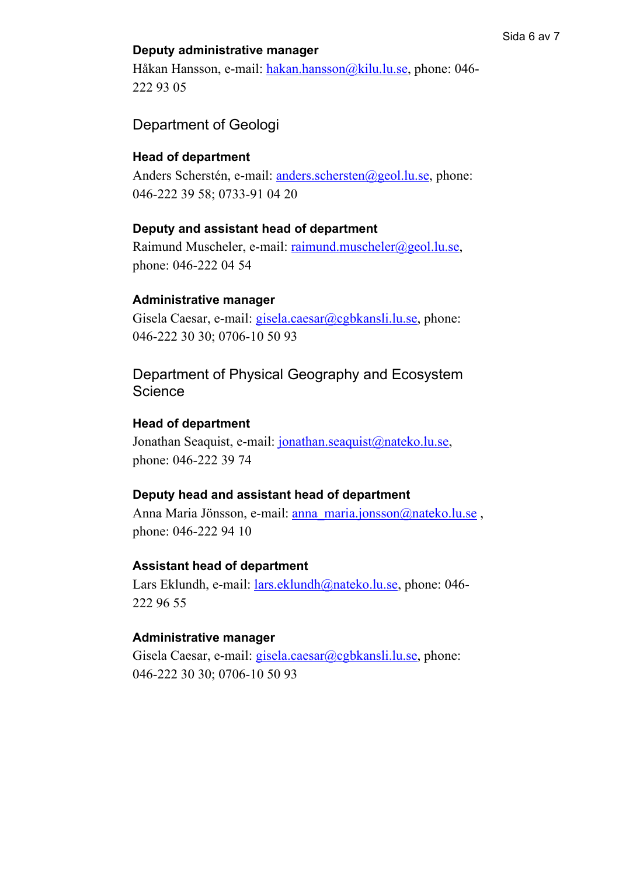#### **Deputy administrative manager**

Håkan Hansson, e-mail: [hakan.hansson@kilu.lu.se,](mailto:hakan.hansson@kilu.lu.se) phone: 046-222 93 05

#### Department of Geologi

#### **Head of department**

Anders Scherstén, e-mail: [anders.schersten@geol.lu.se,](mailto:anders.schersten@geol.lu.se) phone: 046-222 39 58; 0733-91 04 20

#### **Deputy and assistant head of department**

Raimund Muscheler, e-mail: [raimund.muscheler@geol.lu.se,](mailto:raimund.muscheler@geol.lu.se) phone: 046-222 04 54

#### **Administrative manager**

Gisela Caesar, e-mail: [gisela.caesar@cgbkansli.lu.se,](mailto:gisela.caesar@cgbkansli.lu.se) phone: 046-222 30 30; 0706-10 50 93

Department of Physical Geography and Ecosystem **Science** 

#### **Head of department**

Jonathan Seaquist, e-mail: [jonathan.seaquist@nateko.lu.se,](mailto:jonathan.seaquist@nateko.lu.se) phone: 046-222 39 74

#### **Deputy head and assistant head of department**

Anna Maria Jönsson, e-mail: [anna\\_maria.jonsson@nateko.lu.se](mailto:anna_maria.jonsson@nateko.lu.se) , phone: 046-222 94 10

#### **Assistant head of department**

Lars Eklundh, e-mail: [lars.eklundh@nateko.lu.se,](mailto:lars.eklundh@nateko.lu.se) phone: 046-222 96 55

#### **Administrative manager**

Gisela Caesar, e-mail: [gisela.caesar@cgbkansli.lu.se,](mailto:gisela.caesar@cgbkansli.lu.se) phone: 046-222 30 30; 0706-10 50 93